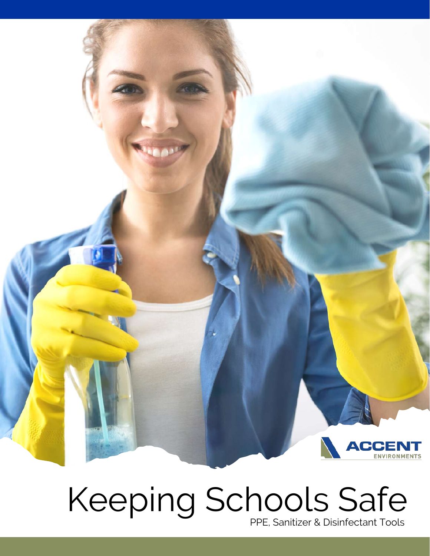

# Keeping Schools Safe

PPE, Sanitizer & Disinfectant Tools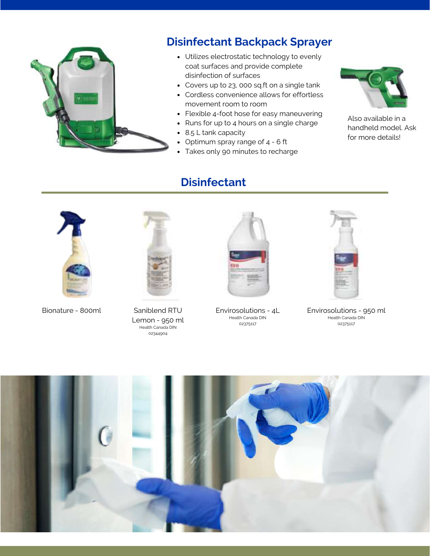

## **Disinfectant Backpack Sprayer**

- Utilizes electrostatic technology to evenly coat surfaces and provide complete disinfection of surfaces
- Covers up to 23, 000 sq.ft on a single tank
- Cordless convenience allows for effortless movement room to room
- Flexible 4-foot hose for easy maneuvering
- Runs for up to 4 hours on a single charge
- 8.5 L tank capacity
- Optimum spray range of 4 6 ft
- Takes only 90 minutes to recharge

### **Disinfectant**



Also available in a handheld model. Ask for more details!



Bionature - 800ml Saniblend RTU



Lemon - 950 ml Health Canada DIN 02344904



Envirosolutions - 4L Health Canada DIN 02375117



Envirosolutions - 950 ml Health Canada DIN 02375117

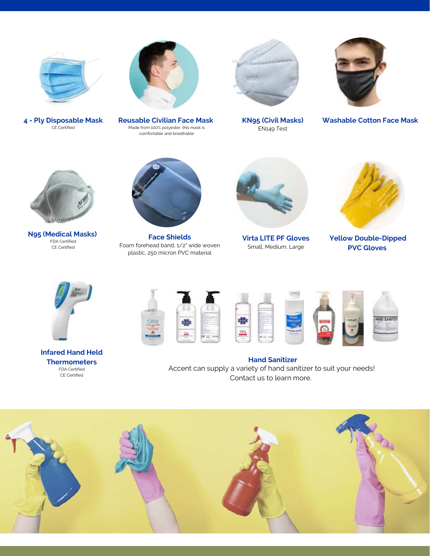

**4 - Ply Disposable Mask** CE Certified



**Reusable Civilian Face Mask** Made from 100% polyester, this mask is comfortable and breathable

**KN95 (Civil Masks)** EN149 Test



**Washable Cotton Face Mask**



**N95 (Medical Masks)** FDA Certified CE Certified



**Face Shields** Foam forehead band, 1/2" wide woven plastic, 250 micron PVC material



**Virta LITE PF Gloves** Small, Medium, Large



**Yellow Double-Dipped PVC Gloves**



**Infared Hand Held Thermometers** FDA Certified CE Certified



Accent can supply a variety of hand sanitizer to suit your needs! Contact us to learn more. **Hand Sanitizer**